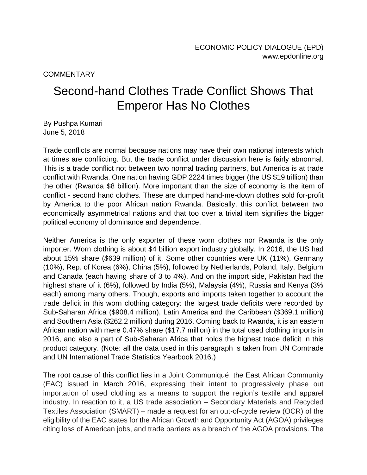**COMMENTARY** 

## Second-hand Clothes Trade Conflict Shows That Emperor Has No Clothes

By Pushpa Kumari June 5, 2018

Trade conflicts are normal because nations may have their own national interests which at times are conflicting. But the trade conflict under discussion here is fairly abnormal. This is a trade conflict not between two normal trading partners, but America is at trade conflict with Rwanda. One nation having GDP 2224 times bigger (the US \$19 trillion) than the other (Rwanda \$8 billion). More important than the size of economy is the item of conflict - second hand clothes. These are dumped hand-me-down clothes sold for-profit by America to the poor African nation Rwanda. Basically, this conflict between two economically asymmetrical nations and that too over a trivial item signifies the bigger political economy of dominance and dependence.

Neither America is the only exporter of these worn clothes nor Rwanda is the only importer. Worn clothing is about \$4 billion export industry globally. In 2016, the US had about 15% share (\$639 million) of it. Some other countries were UK (11%), Germany (10%), Rep. of Korea (6%), China (5%), followed by Netherlands, Poland, Italy, Belgium and Canada (each having share of 3 to 4%). And on the import side, Pakistan had the highest share of it (6%), followed by India (5%), Malaysia (4%), Russia and Kenya (3% each) among many others. Though, exports and imports taken together to account the trade deficit in this worn clothing category: the largest trade deficits were recorded by Sub-Saharan Africa (\$908.4 million), Latin America and the Caribbean (\$369.1 million) and Southern Asia (\$262.2 million) during 2016. Coming back to Rwanda, it is an eastern African nation with mere 0.47% share (\$17.7 million) in the total used clothing imports in 2016, and also a part of Sub-Saharan Africa that holds the highest trade deficit in this product category. (Note: all the data used in this paragraph is taken from UN Comtrade and UN International Trade Statistics Yearbook 2016.)

The root cause of this conflict lies in a Joint Communiqué, the East African Community (EAC) issued in March 2016, expressing their intent to progressively phase out importation of used clothing as a means to support the region's textile and apparel industry. In reaction to it, a US trade association – Secondary Materials and Recycled Textiles Association (SMART) – made a request for an out-of-cycle review (OCR) of the eligibility of the EAC states for the African Growth and Opportunity Act (AGOA) privileges citing loss of American jobs, and trade barriers as a breach of the AGOA provisions. The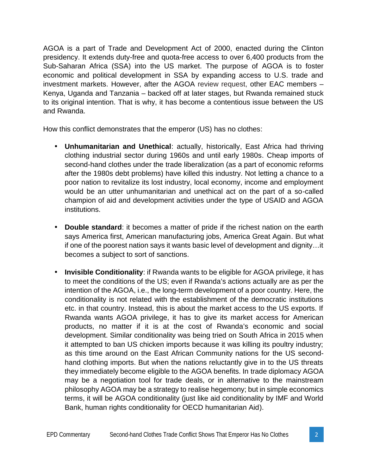AGOA is a part of Trade and Development Act of 2000, enacted during the Clinton presidency. It extends duty-free and quota-free access to over 6,400 products from the Sub-Saharan Africa (SSA) into the US market. The purpose of AGOA is to foster economic and political development in SSA by expanding access to U.S. trade and investment markets. However, after the AGOA review request, other EAC members – Kenya, Uganda and Tanzania – backed off at later stages, but Rwanda remained stuck to its original intention. That is why, it has become a contentious issue between the US and Rwanda.

How this conflict demonstrates that the emperor (US) has no clothes:

- **Unhumanitarian and Unethical**: actually, historically, East Africa had thriving clothing industrial sector during 1960s and until early 1980s. Cheap imports of second-hand clothes under the trade liberalization (as a part of economic reforms after the 1980s debt problems) have killed this industry. Not letting a chance to a poor nation to revitalize its lost industry, local economy, income and employment would be an utter unhumanitarian and unethical act on the part of a so-called champion of aid and development activities under the type of USAID and AGOA institutions.
- **Double standard**: it becomes a matter of pride if the richest nation on the earth says America first, American manufacturing jobs, America Great Again. But what if one of the poorest nation says it wants basic level of development and dignity…it becomes a subject to sort of sanctions.
- **Invisible Conditionality**: if Rwanda wants to be eligible for AGOA privilege, it has to meet the conditions of the US; even if Rwanda's actions actually are as per the intention of the AGOA, i.e., the long-term development of a poor country. Here, the conditionality is not related with the establishment of the democratic institutions etc. in that country. Instead, this is about the market access to the US exports. If Rwanda wants AGOA privilege, it has to give its market access for American products, no matter if it is at the cost of Rwanda's economic and social development. Similar conditionality was being tried on South Africa in 2015 when it attempted to ban US chicken imports because it was killing its poultry industry; as this time around on the East African Community nations for the US second hand clothing imports. But when the nations reluctantly give in to the US threats they immediately become eligible to the AGOA benefits. In trade diplomacy AGOA may be a negotiation tool for trade deals, or in alternative to the mainstream philosophy AGOA may be a strategy to realise hegemony; but in simple economics terms, it will be AGOA conditionality (just like aid conditionality by IMF and World Bank, human rights conditionality for OECD humanitarian Aid).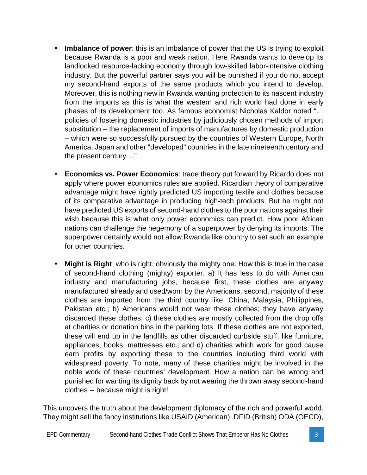- **Imbalance of power**: this is an imbalance of power that the US is trying to exploit because Rwanda is a poor and weak nation. Here Rwanda wants to develop its landlocked resource-lacking economy through low-skilled labor-intensive clothing industry. But the powerful partner says you will be punished if you do not accept my second-hand exports of the same products which you intend to develop. Moreover, this is nothing new in Rwanda wanting protection to its nascent industry from the imports as this is what the western and rich world had done in early phases of its development too. As famous economist Nicholas Kaldor noted "… policies of fostering domestic industries by judiciously chosen methods of import substitution – the replacement of imports of manufactures by domestic production – which were so successfully pursued by the countries of Western Europe, North America, Japan and other "developed" countries in the late nineteenth century and the present century...."
- **Economics vs. Power Economics**: trade theory put forward by Ricardo does not apply where power economics rules are applied. Ricardian theory of comparative advantage might have rightly predicted US importing textile and clothes because of its comparative advantage in producing high-tech products. But he might not have predicted US exports of second-hand clothes to the poor nations against their wish because this is what only power economics can predict. How poor African nations can challenge the hegemony of a superpower by denying its imports. The superpower certainly would not allow Rwanda like country to set such an example for other countries.
- **Might is Right**: who is right, obviously the mighty one. How this is true in the case of second-hand clothing (mighty) exporter. a) It has less to do with American industry and manufacturing jobs, because first, these clothes are anyway manufactured already and used/worn by the Americans, second, majority of these clothes are imported from the third country like, China, Malaysia, Philippines, Pakistan etc.; b) Americans would not wear these clothes; they have anyway discarded these clothes; c) these clothes are mostly collected from the drop offs at charities or donation bins in the parking lots. If these clothes are not exported, these will end up in the landfills as other discarded curbside stuff, like furniture, appliances, books, mattresses etc.; and d) charities which work for good cause earn profits by exporting these to the countries including third world with widespread poverty. To note, many of these charities might be involved in the noble work of these countries' development. How a nation can be wrong and punished for wanting its dignity back by not wearing the thrown away second-hand clothes -- because might is right!

This uncovers the truth about the development diplomacy of the rich and powerful world. They might sell the fancy institutions like USAID (American), DFID (British) ODA (OECD),